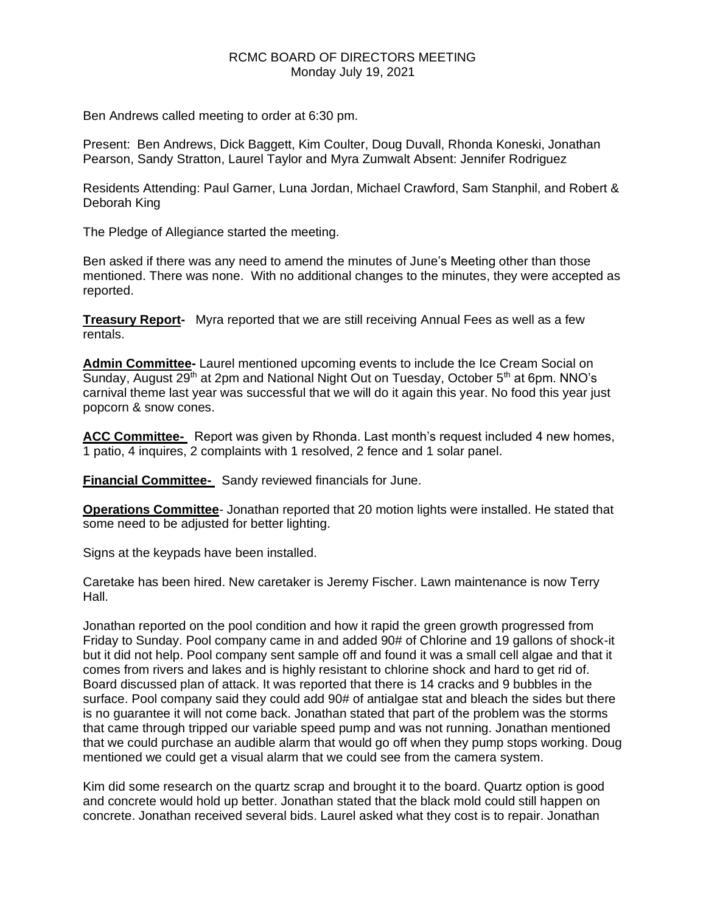## RCMC BOARD OF DIRECTORS MEETING Monday July 19, 2021

Ben Andrews called meeting to order at 6:30 pm.

Present: Ben Andrews, Dick Baggett, Kim Coulter, Doug Duvall, Rhonda Koneski, Jonathan Pearson, Sandy Stratton, Laurel Taylor and Myra Zumwalt Absent: Jennifer Rodriguez

Residents Attending: Paul Garner, Luna Jordan, Michael Crawford, Sam Stanphil, and Robert & Deborah King

The Pledge of Allegiance started the meeting.

Ben asked if there was any need to amend the minutes of June's Meeting other than those mentioned. There was none. With no additional changes to the minutes, they were accepted as reported.

**Treasury Report-** Myra reported that we are still receiving Annual Fees as well as a few rentals.

**Admin Committee-** Laurel mentioned upcoming events to include the Ice Cream Social on Sunday, August  $29<sup>th</sup>$  at 2pm and National Night Out on Tuesday, October 5<sup>th</sup> at 6pm. NNO's carnival theme last year was successful that we will do it again this year. No food this year just popcorn & snow cones.

ACC Committee- Report was given by Rhonda. Last month's request included 4 new homes, 1 patio, 4 inquires, 2 complaints with 1 resolved, 2 fence and 1 solar panel.

**Financial Committee-** Sandy reviewed financials for June.

**Operations Committee**- Jonathan reported that 20 motion lights were installed. He stated that some need to be adjusted for better lighting.

Signs at the keypads have been installed.

Caretake has been hired. New caretaker is Jeremy Fischer. Lawn maintenance is now Terry Hall.

Jonathan reported on the pool condition and how it rapid the green growth progressed from Friday to Sunday. Pool company came in and added 90# of Chlorine and 19 gallons of shock-it but it did not help. Pool company sent sample off and found it was a small cell algae and that it comes from rivers and lakes and is highly resistant to chlorine shock and hard to get rid of. Board discussed plan of attack. It was reported that there is 14 cracks and 9 bubbles in the surface. Pool company said they could add 90# of antialgae stat and bleach the sides but there is no guarantee it will not come back. Jonathan stated that part of the problem was the storms that came through tripped our variable speed pump and was not running. Jonathan mentioned that we could purchase an audible alarm that would go off when they pump stops working. Doug mentioned we could get a visual alarm that we could see from the camera system.

Kim did some research on the quartz scrap and brought it to the board. Quartz option is good and concrete would hold up better. Jonathan stated that the black mold could still happen on concrete. Jonathan received several bids. Laurel asked what they cost is to repair. Jonathan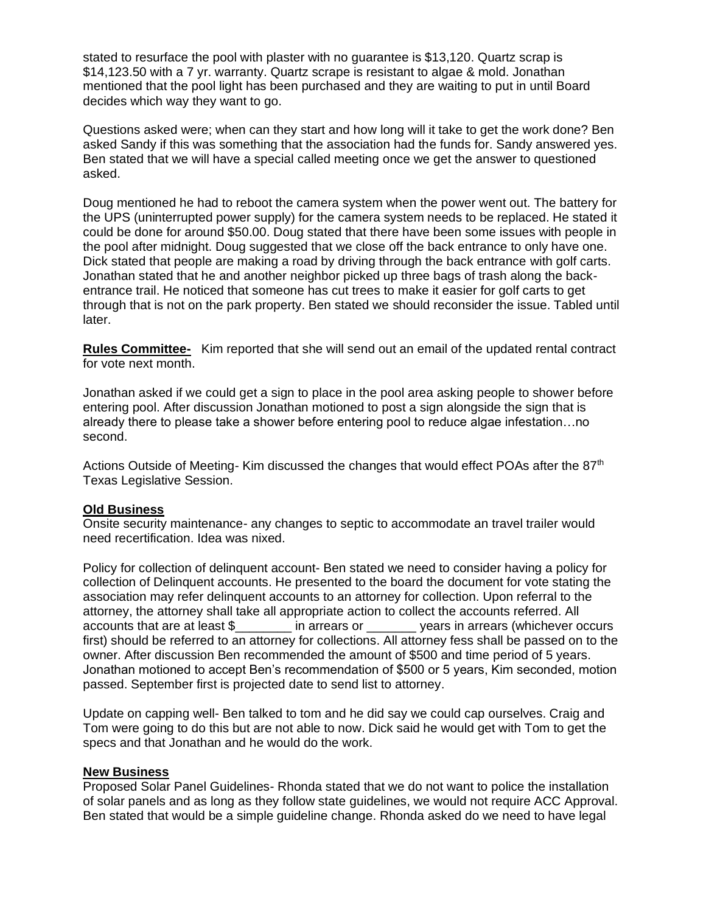stated to resurface the pool with plaster with no guarantee is \$13,120. Quartz scrap is \$14,123.50 with a 7 yr. warranty. Quartz scrape is resistant to algae & mold. Jonathan mentioned that the pool light has been purchased and they are waiting to put in until Board decides which way they want to go.

Questions asked were; when can they start and how long will it take to get the work done? Ben asked Sandy if this was something that the association had the funds for. Sandy answered yes. Ben stated that we will have a special called meeting once we get the answer to questioned asked.

Doug mentioned he had to reboot the camera system when the power went out. The battery for the UPS (uninterrupted power supply) for the camera system needs to be replaced. He stated it could be done for around \$50.00. Doug stated that there have been some issues with people in the pool after midnight. Doug suggested that we close off the back entrance to only have one. Dick stated that people are making a road by driving through the back entrance with golf carts. Jonathan stated that he and another neighbor picked up three bags of trash along the backentrance trail. He noticed that someone has cut trees to make it easier for golf carts to get through that is not on the park property. Ben stated we should reconsider the issue. Tabled until later.

**Rules Committee-** Kim reported that she will send out an email of the updated rental contract for vote next month.

Jonathan asked if we could get a sign to place in the pool area asking people to shower before entering pool. After discussion Jonathan motioned to post a sign alongside the sign that is already there to please take a shower before entering pool to reduce algae infestation…no second.

Actions Outside of Meeting- Kim discussed the changes that would effect POAs after the 87<sup>th</sup> Texas Legislative Session.

## **Old Business**

Onsite security maintenance- any changes to septic to accommodate an travel trailer would need recertification. Idea was nixed.

Policy for collection of delinquent account- Ben stated we need to consider having a policy for collection of Delinquent accounts. He presented to the board the document for vote stating the association may refer delinquent accounts to an attorney for collection. Upon referral to the attorney, the attorney shall take all appropriate action to collect the accounts referred. All accounts that are at least \$\_\_\_\_\_\_\_\_ in arrears or \_\_\_\_\_\_\_ years in arrears (whichever occurs first) should be referred to an attorney for collections. All attorney fess shall be passed on to the owner. After discussion Ben recommended the amount of \$500 and time period of 5 years. Jonathan motioned to accept Ben's recommendation of \$500 or 5 years, Kim seconded, motion passed. September first is projected date to send list to attorney.

Update on capping well- Ben talked to tom and he did say we could cap ourselves. Craig and Tom were going to do this but are not able to now. Dick said he would get with Tom to get the specs and that Jonathan and he would do the work.

## **New Business**

Proposed Solar Panel Guidelines- Rhonda stated that we do not want to police the installation of solar panels and as long as they follow state guidelines, we would not require ACC Approval. Ben stated that would be a simple guideline change. Rhonda asked do we need to have legal